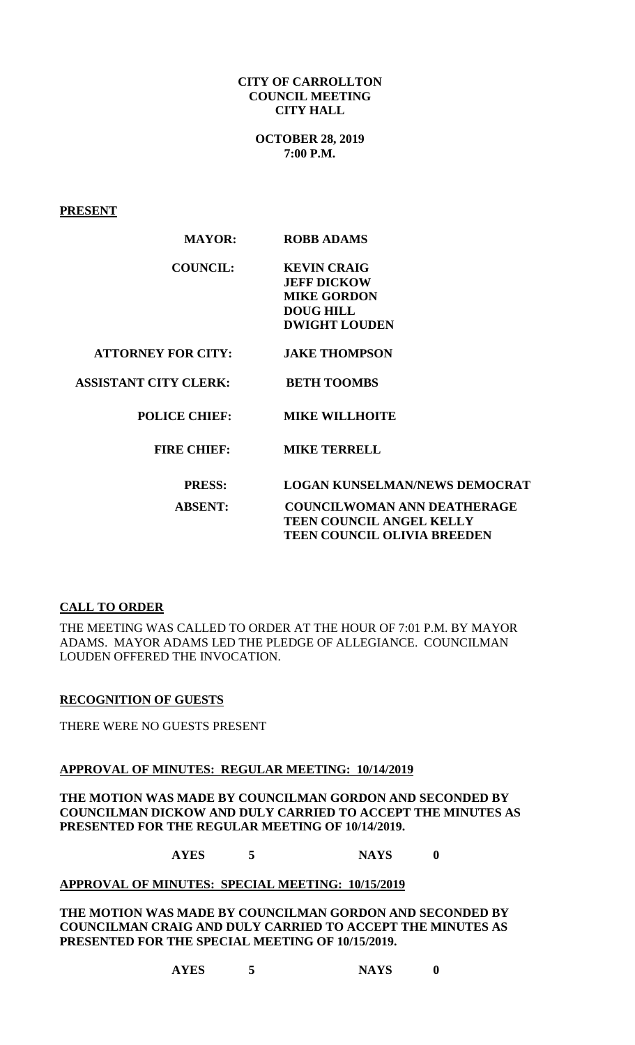#### **CITY OF CARROLLTON COUNCIL MEETING CITY HALL**

**OCTOBER 28, 2019 7:00 P.M.**

**PRESENT**

| <b>MAYOR:</b>                | <b>ROBB ADAMS</b>                                                                                          |
|------------------------------|------------------------------------------------------------------------------------------------------------|
| <b>COUNCIL:</b>              | <b>KEVIN CRAIG</b><br><b>JEFF DICKOW</b><br><b>MIKE GORDON</b><br><b>DOUG HILL</b><br><b>DWIGHT LOUDEN</b> |
| <b>ATTORNEY FOR CITY:</b>    | <b>JAKE THOMPSON</b>                                                                                       |
| <b>ASSISTANT CITY CLERK:</b> | <b>BETH TOOMBS</b>                                                                                         |
| <b>POLICE CHIEF:</b>         | <b>MIKE WILLHOITE</b>                                                                                      |
| <b>FIRE CHIEF:</b>           | <b>MIKE TERRELL</b>                                                                                        |
| <b>PRESS:</b>                | <b>LOGAN KUNSELMAN/NEWS DEMOCRAT</b>                                                                       |
| <b>ABSENT:</b>               | <b>COUNCILWOMAN ANN DEATHERAGE</b><br><b>TEEN COUNCIL ANGEL KELLY</b><br>TEEN COUNCIL OLIVIA BREEDEN       |

### **CALL TO ORDER**

THE MEETING WAS CALLED TO ORDER AT THE HOUR OF 7:01 P.M. BY MAYOR ADAMS. MAYOR ADAMS LED THE PLEDGE OF ALLEGIANCE. COUNCILMAN LOUDEN OFFERED THE INVOCATION.

### **RECOGNITION OF GUESTS**

THERE WERE NO GUESTS PRESENT

### **APPROVAL OF MINUTES: REGULAR MEETING: 10/14/2019**

**THE MOTION WAS MADE BY COUNCILMAN GORDON AND SECONDED BY COUNCILMAN DICKOW AND DULY CARRIED TO ACCEPT THE MINUTES AS PRESENTED FOR THE REGULAR MEETING OF 10/14/2019.**

**AYES 5 NAYS 0**

### **APPROVAL OF MINUTES: SPECIAL MEETING: 10/15/2019**

**THE MOTION WAS MADE BY COUNCILMAN GORDON AND SECONDED BY COUNCILMAN CRAIG AND DULY CARRIED TO ACCEPT THE MINUTES AS PRESENTED FOR THE SPECIAL MEETING OF 10/15/2019.**

**AYES 5 NAYS 0**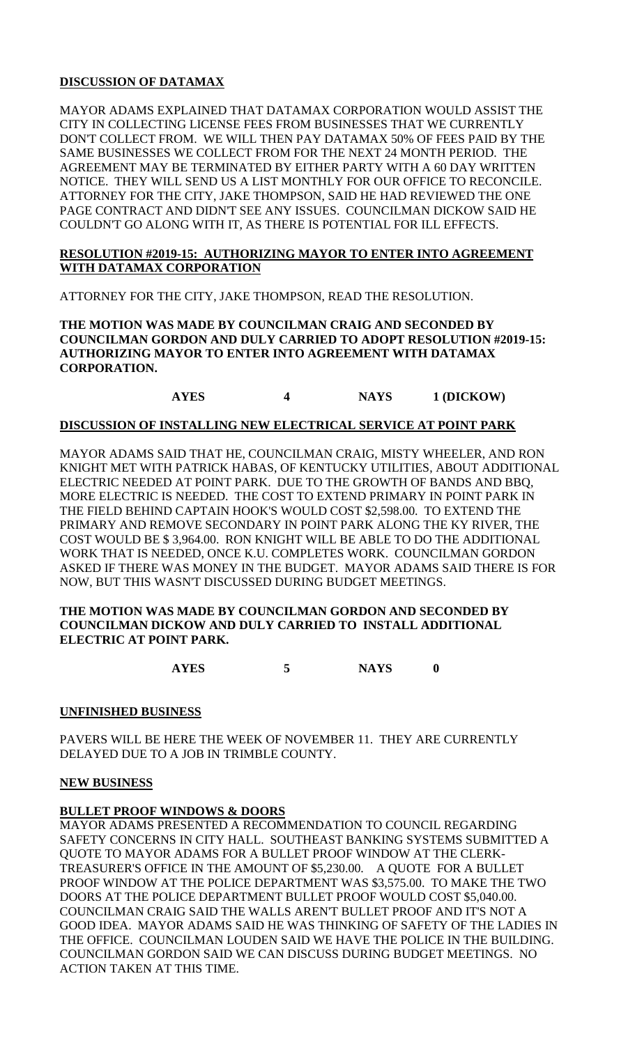## **DISCUSSION OF DATAMAX**

MAYOR ADAMS EXPLAINED THAT DATAMAX CORPORATION WOULD ASSIST THE CITY IN COLLECTING LICENSE FEES FROM BUSINESSES THAT WE CURRENTLY DON'T COLLECT FROM. WE WILL THEN PAY DATAMAX 50% OF FEES PAID BY THE SAME BUSINESSES WE COLLECT FROM FOR THE NEXT 24 MONTH PERIOD. THE AGREEMENT MAY BE TERMINATED BY EITHER PARTY WITH A 60 DAY WRITTEN NOTICE. THEY WILL SEND US A LIST MONTHLY FOR OUR OFFICE TO RECONCILE. ATTORNEY FOR THE CITY, JAKE THOMPSON, SAID HE HAD REVIEWED THE ONE PAGE CONTRACT AND DIDN'T SEE ANY ISSUES. COUNCILMAN DICKOW SAID HE COULDN'T GO ALONG WITH IT, AS THERE IS POTENTIAL FOR ILL EFFECTS.

### **RESOLUTION #2019-15: AUTHORIZING MAYOR TO ENTER INTO AGREEMENT WITH DATAMAX CORPORATION**

ATTORNEY FOR THE CITY, JAKE THOMPSON, READ THE RESOLUTION.

**THE MOTION WAS MADE BY COUNCILMAN CRAIG AND SECONDED BY COUNCILMAN GORDON AND DULY CARRIED TO ADOPT RESOLUTION #2019-15: AUTHORIZING MAYOR TO ENTER INTO AGREEMENT WITH DATAMAX CORPORATION.**

# **AYES 4 NAYS 1 (DICKOW)**

## **DISCUSSION OF INSTALLING NEW ELECTRICAL SERVICE AT POINT PARK**

MAYOR ADAMS SAID THAT HE, COUNCILMAN CRAIG, MISTY WHEELER, AND RON KNIGHT MET WITH PATRICK HABAS, OF KENTUCKY UTILITIES, ABOUT ADDITIONAL ELECTRIC NEEDED AT POINT PARK. DUE TO THE GROWTH OF BANDS AND BBQ, MORE ELECTRIC IS NEEDED. THE COST TO EXTEND PRIMARY IN POINT PARK IN THE FIELD BEHIND CAPTAIN HOOK'S WOULD COST \$2,598.00. TO EXTEND THE PRIMARY AND REMOVE SECONDARY IN POINT PARK ALONG THE KY RIVER, THE COST WOULD BE \$ 3,964.00. RON KNIGHT WILL BE ABLE TO DO THE ADDITIONAL WORK THAT IS NEEDED, ONCE K.U. COMPLETES WORK. COUNCILMAN GORDON ASKED IF THERE WAS MONEY IN THE BUDGET. MAYOR ADAMS SAID THERE IS FOR NOW, BUT THIS WASN'T DISCUSSED DURING BUDGET MEETINGS.

### **THE MOTION WAS MADE BY COUNCILMAN GORDON AND SECONDED BY COUNCILMAN DICKOW AND DULY CARRIED TO INSTALL ADDITIONAL ELECTRIC AT POINT PARK.**

**AYES 5 NAYS 0**

### **UNFINISHED BUSINESS**

PAVERS WILL BE HERE THE WEEK OF NOVEMBER 11. THEY ARE CURRENTLY DELAYED DUE TO A JOB IN TRIMBLE COUNTY.

### **NEW BUSINESS**

## **BULLET PROOF WINDOWS & DOORS**

MAYOR ADAMS PRESENTED A RECOMMENDATION TO COUNCIL REGARDING SAFETY CONCERNS IN CITY HALL. SOUTHEAST BANKING SYSTEMS SUBMITTED A QUOTE TO MAYOR ADAMS FOR A BULLET PROOF WINDOW AT THE CLERK-TREASURER'S OFFICE IN THE AMOUNT OF \$5,230.00. A QUOTE FOR A BULLET PROOF WINDOW AT THE POLICE DEPARTMENT WAS \$3,575.00. TO MAKE THE TWO DOORS AT THE POLICE DEPARTMENT BULLET PROOF WOULD COST \$5,040.00. COUNCILMAN CRAIG SAID THE WALLS AREN'T BULLET PROOF AND IT'S NOT A GOOD IDEA. MAYOR ADAMS SAID HE WAS THINKING OF SAFETY OF THE LADIES IN THE OFFICE. COUNCILMAN LOUDEN SAID WE HAVE THE POLICE IN THE BUILDING. COUNCILMAN GORDON SAID WE CAN DISCUSS DURING BUDGET MEETINGS. NO ACTION TAKEN AT THIS TIME.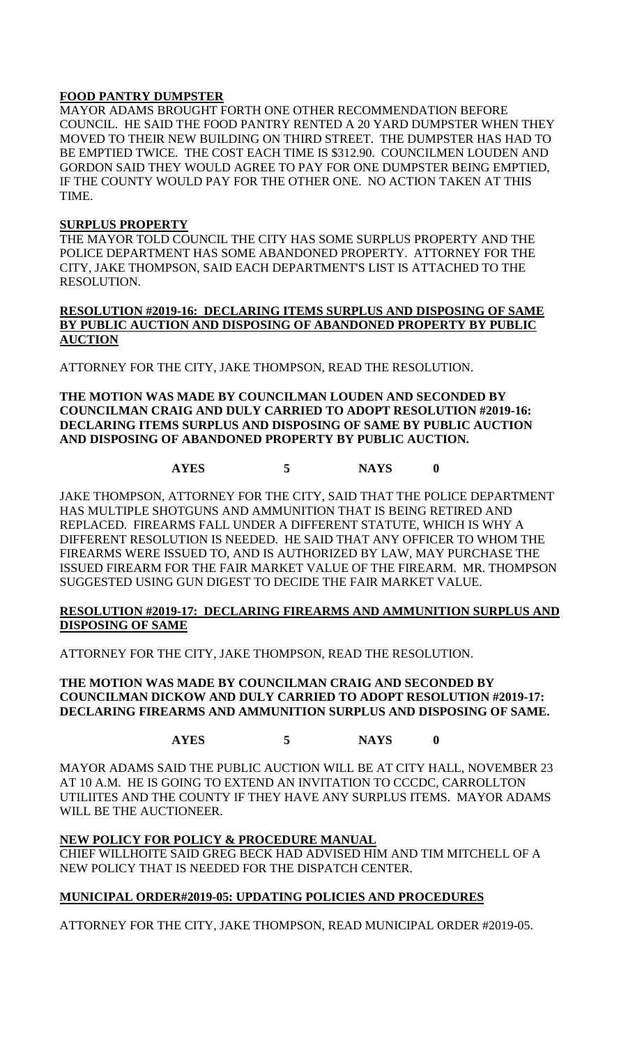## **FOOD PANTRY DUMPSTER**

MAYOR ADAMS BROUGHT FORTH ONE OTHER RECOMMENDATION BEFORE COUNCIL. HE SAID THE FOOD PANTRY RENTED A 20 YARD DUMPSTER WHEN THEY MOVED TO THEIR NEW BUILDING ON THIRD STREET. THE DUMPSTER HAS HAD TO BE EMPTIED TWICE. THE COST EACH TIME IS \$312.90. COUNCILMEN LOUDEN AND GORDON SAID THEY WOULD AGREE TO PAY FOR ONE DUMPSTER BEING EMPTIED, IF THE COUNTY WOULD PAY FOR THE OTHER ONE. NO ACTION TAKEN AT THIS TIME.

### **SURPLUS PROPERTY**

THE MAYOR TOLD COUNCIL THE CITY HAS SOME SURPLUS PROPERTY AND THE POLICE DEPARTMENT HAS SOME ABANDONED PROPERTY. ATTORNEY FOR THE CITY, JAKE THOMPSON, SAID EACH DEPARTMENT'S LIST IS ATTACHED TO THE RESOLUTION.

### **RESOLUTION #2019-16: DECLARING ITEMS SURPLUS AND DISPOSING OF SAME BY PUBLIC AUCTION AND DISPOSING OF ABANDONED PROPERTY BY PUBLIC AUCTION**

ATTORNEY FOR THE CITY, JAKE THOMPSON, READ THE RESOLUTION.

**THE MOTION WAS MADE BY COUNCILMAN LOUDEN AND SECONDED BY COUNCILMAN CRAIG AND DULY CARRIED TO ADOPT RESOLUTION #2019-16: DECLARING ITEMS SURPLUS AND DISPOSING OF SAME BY PUBLIC AUCTION AND DISPOSING OF ABANDONED PROPERTY BY PUBLIC AUCTION.**

# **AYES 5 NAYS 0**

JAKE THOMPSON, ATTORNEY FOR THE CITY, SAID THAT THE POLICE DEPARTMENT HAS MULTIPLE SHOTGUNS AND AMMUNITION THAT IS BEING RETIRED AND REPLACED. FIREARMS FALL UNDER A DIFFERENT STATUTE, WHICH IS WHY A DIFFERENT RESOLUTION IS NEEDED. HE SAID THAT ANY OFFICER TO WHOM THE FIREARMS WERE ISSUED TO, AND IS AUTHORIZED BY LAW, MAY PURCHASE THE ISSUED FIREARM FOR THE FAIR MARKET VALUE OF THE FIREARM. MR. THOMPSON SUGGESTED USING GUN DIGEST TO DECIDE THE FAIR MARKET VALUE.

### **RESOLUTION #2019-17: DECLARING FIREARMS AND AMMUNITION SURPLUS AND DISPOSING OF SAME**

ATTORNEY FOR THE CITY, JAKE THOMPSON, READ THE RESOLUTION.

**THE MOTION WAS MADE BY COUNCILMAN CRAIG AND SECONDED BY COUNCILMAN DICKOW AND DULY CARRIED TO ADOPT RESOLUTION #2019-17: DECLARING FIREARMS AND AMMUNITION SURPLUS AND DISPOSING OF SAME.**

## **AYES 5 NAYS 0**

MAYOR ADAMS SAID THE PUBLIC AUCTION WILL BE AT CITY HALL, NOVEMBER 23 AT 10 A.M. HE IS GOING TO EXTEND AN INVITATION TO CCCDC, CARROLLTON UTILIITES AND THE COUNTY IF THEY HAVE ANY SURPLUS ITEMS. MAYOR ADAMS WILL BE THE AUCTIONEER.

### **NEW POLICY FOR POLICY & PROCEDURE MANUAL**

CHIEF WILLHOITE SAID GREG BECK HAD ADVISED HIM AND TIM MITCHELL OF A NEW POLICY THAT IS NEEDED FOR THE DISPATCH CENTER.

## **MUNICIPAL ORDER#2019-05: UPDATING POLICIES AND PROCEDURES**

ATTORNEY FOR THE CITY, JAKE THOMPSON, READ MUNICIPAL ORDER #2019-05.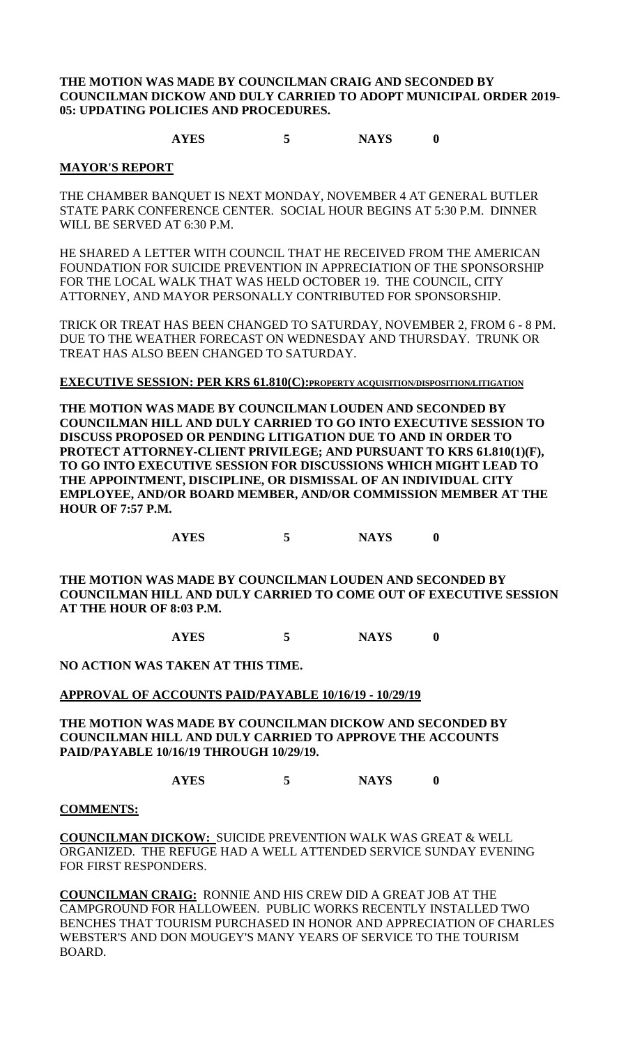**THE MOTION WAS MADE BY COUNCILMAN CRAIG AND SECONDED BY COUNCILMAN DICKOW AND DULY CARRIED TO ADOPT MUNICIPAL ORDER 2019- 05: UPDATING POLICIES AND PROCEDURES.**

### **AYES 5 NAYS 0**

#### **MAYOR'S REPORT**

THE CHAMBER BANQUET IS NEXT MONDAY, NOVEMBER 4 AT GENERAL BUTLER STATE PARK CONFERENCE CENTER. SOCIAL HOUR BEGINS AT 5:30 P.M. DINNER WILL BE SERVED AT 6:30 P.M.

HE SHARED A LETTER WITH COUNCIL THAT HE RECEIVED FROM THE AMERICAN FOUNDATION FOR SUICIDE PREVENTION IN APPRECIATION OF THE SPONSORSHIP FOR THE LOCAL WALK THAT WAS HELD OCTOBER 19. THE COUNCIL, CITY ATTORNEY, AND MAYOR PERSONALLY CONTRIBUTED FOR SPONSORSHIP.

TRICK OR TREAT HAS BEEN CHANGED TO SATURDAY, NOVEMBER 2, FROM 6 - 8 PM. DUE TO THE WEATHER FORECAST ON WEDNESDAY AND THURSDAY. TRUNK OR TREAT HAS ALSO BEEN CHANGED TO SATURDAY.

## **EXECUTIVE SESSION: PER KRS 61.810(C):PROPERTY ACQUISITION/DISPOSITION/LITIGATION**

**THE MOTION WAS MADE BY COUNCILMAN LOUDEN AND SECONDED BY COUNCILMAN HILL AND DULY CARRIED TO GO INTO EXECUTIVE SESSION TO DISCUSS PROPOSED OR PENDING LITIGATION DUE TO AND IN ORDER TO PROTECT ATTORNEY-CLIENT PRIVILEGE; AND PURSUANT TO KRS 61.810(1)(F), TO GO INTO EXECUTIVE SESSION FOR DISCUSSIONS WHICH MIGHT LEAD TO THE APPOINTMENT, DISCIPLINE, OR DISMISSAL OF AN INDIVIDUAL CITY EMPLOYEE, AND/OR BOARD MEMBER, AND/OR COMMISSION MEMBER AT THE HOUR OF 7:57 P.M.**

**AYES 5 NAYS 0**

**THE MOTION WAS MADE BY COUNCILMAN LOUDEN AND SECONDED BY COUNCILMAN HILL AND DULY CARRIED TO COME OUT OF EXECUTIVE SESSION AT THE HOUR OF 8:03 P.M.**

**AYES 5 NAYS 0**

**NO ACTION WAS TAKEN AT THIS TIME.**

#### **APPROVAL OF ACCOUNTS PAID/PAYABLE 10/16/19 - 10/29/19**

**THE MOTION WAS MADE BY COUNCILMAN DICKOW AND SECONDED BY COUNCILMAN HILL AND DULY CARRIED TO APPROVE THE ACCOUNTS PAID/PAYABLE 10/16/19 THROUGH 10/29/19.**

**AYES 5 NAYS 0**

#### **COMMENTS:**

**COUNCILMAN DICKOW:** SUICIDE PREVENTION WALK WAS GREAT & WELL ORGANIZED. THE REFUGE HAD A WELL ATTENDED SERVICE SUNDAY EVENING FOR FIRST RESPONDERS.

**COUNCILMAN CRAIG:** RONNIE AND HIS CREW DID A GREAT JOB AT THE CAMPGROUND FOR HALLOWEEN. PUBLIC WORKS RECENTLY INSTALLED TWO BENCHES THAT TOURISM PURCHASED IN HONOR AND APPRECIATION OF CHARLES WEBSTER'S AND DON MOUGEY'S MANY YEARS OF SERVICE TO THE TOURISM BOARD.